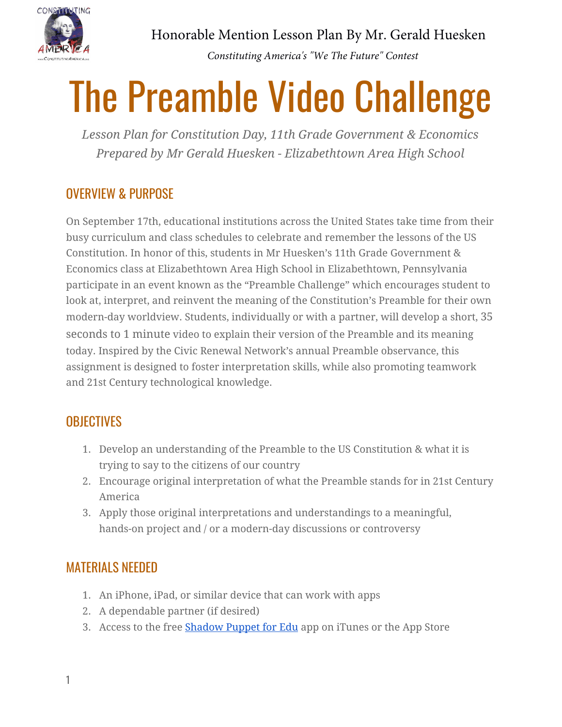

Honorable Mention Lesson Plan By Mr. Gerald Huesken *Constituting America's "We The Future" Contest* 

# The Preamble Video Challenge

*Lesson Plan for Constitution Day, 11th Grade Government & Economics Prepared by Mr Gerald Huesken - Elizabethtown Area High School*

# OVERVIEW & PURPOSE

On September 17th, educational institutions across the United States take time from their busy curriculum and class schedules to celebrate and remember the lessons of the US Constitution. In honor of this, students in Mr Huesken's 11th Grade Government & Economics class at Elizabethtown Area High School in Elizabethtown, Pennsylvania participate in an event known as the "Preamble Challenge" which encourages student to look at, interpret, and reinvent the meaning of the Constitution's Preamble for their own modern-day worldview. Students, individually or with a partner, will develop a short, 35 seconds to 1 minute video to explain their version of the Preamble and its meaning today. Inspired by the Civic Renewal Network's annual Preamble observance, this assignment is designed to foster interpretation skills, while also promoting teamwork and 21st Century technological knowledge.

## **OBJECTIVES**

- 1. Develop an understanding of the Preamble to the US Constitution & what it is trying to say to the citizens of our country
- 2. Encourage original interpretation of what the Preamble stands for in 21st Century America
- 3. Apply those original interpretations and understandings to a meaningful, hands-on project and / or a modern-day discussions or controversy

# MATERIALS NEEDED

- 1. An iPhone, iPad, or similar device that can work with apps
- 2. A dependable partner (if desired)
- 3. Access to the free **Shadow Puppet for Edu** app on iTunes or the App Store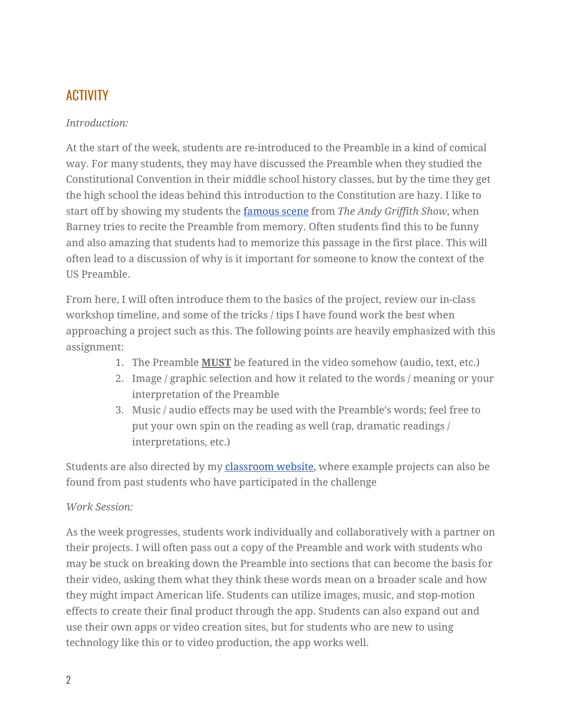## **ACTIVITY**

## *Introduction:*

At the start of the week, students are re-introduced to the Preamble in a kind of comical way. For many students, they may have discussed the Preamble when they studied the Constitutional Convention in their middle school history classes, but by the time they get the high school the ideas behind this introduction to the Constitution are hazy. I like to start off by showing my students the [famous](https://www.youtube.com/watch?v=yx5d3haRG7M) scene from *The Andy Griffith Show*, when Barney tries to recite the Preamble from memory. Often students find this to be funny and also amazing that students had to memorize this passage in the first place. This will often lead to a discussion of why is it important for someone to know the context of the US Preamble.

From here, I will often introduce them to the basics of the project, review our in-class workshop timeline, and some of the tricks / tips I have found work the best when approaching a project such as this. The following points are heavily emphasized with this assignment:

- 1. The Preamble **MUST** be featured in the video somehow (audio, text, etc.)
- 2. Image / graphic selection and how it related to the words / meaning or your interpretation of the Preamble
- 3. Music / audio effects may be used with the Preamble's words; feel free to put your own spin on the reading as well (rap, dramatic readings / interpretations, etc.)

Students are also directed by my [classroom](https://www.etownschools.org/Page/6858) website, where example projects can also be found from past students who have participated in the challenge

### *Work Session:*

As the week progresses, students work individually and collaboratively with a partner on their projects. I will often pass out a copy of the Preamble and work with students who may be stuck on breaking down the Preamble into sections that can become the basis for their video, asking them what they think these words mean on a broader scale and how they might impact American life. Students can utilize images, music, and stop-motion effects to create their final product through the app. Students can also expand out and use their own apps or video creation sites, but for students who are new to using technology like this or to video production, the app works well.